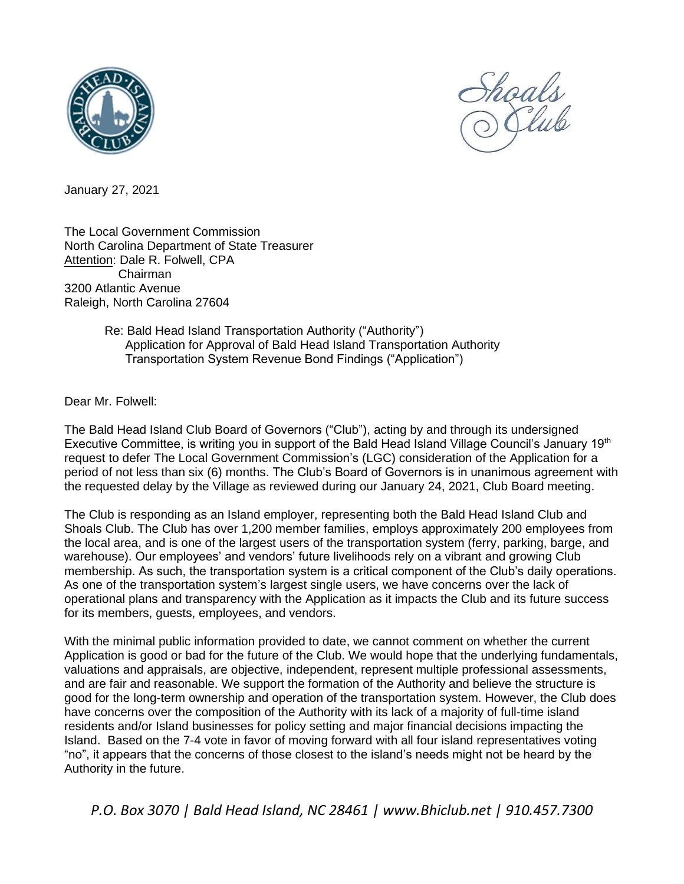



January 27, 2021

The Local Government Commission North Carolina Department of State Treasurer Attention: Dale R. Folwell, CPA Chairman 3200 Atlantic Avenue Raleigh, North Carolina 27604

## Re: Bald Head Island Transportation Authority ("Authority") Application for Approval of Bald Head Island Transportation Authority Transportation System Revenue Bond Findings ("Application")

Dear Mr. Folwell:

The Bald Head Island Club Board of Governors ("Club"), acting by and through its undersigned Executive Committee, is writing you in support of the Bald Head Island Village Council's January 19<sup>th</sup> request to defer The Local Government Commission's (LGC) consideration of the Application for a period of not less than six (6) months. The Club's Board of Governors is in unanimous agreement with the requested delay by the Village as reviewed during our January 24, 2021, Club Board meeting.

The Club is responding as an Island employer, representing both the Bald Head Island Club and Shoals Club. The Club has over 1,200 member families, employs approximately 200 employees from the local area, and is one of the largest users of the transportation system (ferry, parking, barge, and warehouse). Our employees' and vendors' future livelihoods rely on a vibrant and growing Club membership. As such, the transportation system is a critical component of the Club's daily operations. As one of the transportation system's largest single users, we have concerns over the lack of operational plans and transparency with the Application as it impacts the Club and its future success for its members, guests, employees, and vendors.

With the minimal public information provided to date, we cannot comment on whether the current Application is good or bad for the future of the Club. We would hope that the underlying fundamentals, valuations and appraisals, are objective, independent, represent multiple professional assessments, and are fair and reasonable. We support the formation of the Authority and believe the structure is good for the long-term ownership and operation of the transportation system. However, the Club does have concerns over the composition of the Authority with its lack of a majority of full-time island residents and/or Island businesses for policy setting and major financial decisions impacting the Island. Based on the 7-4 vote in favor of moving forward with all four island representatives voting "no", it appears that the concerns of those closest to the island's needs might not be heard by the Authority in the future.

*P.O. Box 3070 | Bald Head Island, NC 28461 | www.Bhiclub.net | 910.457.7300*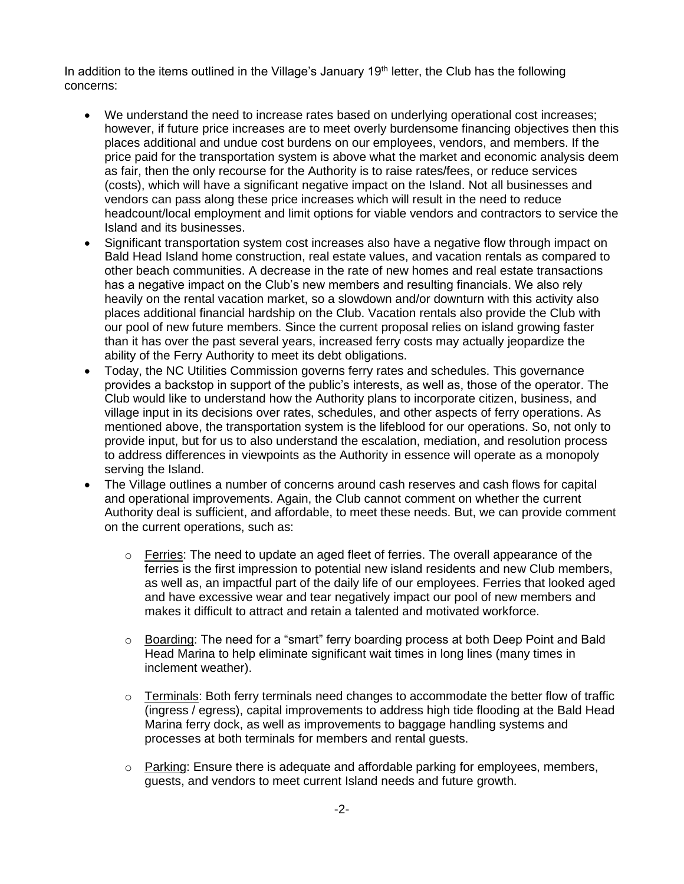In addition to the items outlined in the Village's January 19<sup>th</sup> letter, the Club has the following concerns:

- We understand the need to increase rates based on underlying operational cost increases; however, if future price increases are to meet overly burdensome financing objectives then this places additional and undue cost burdens on our employees, vendors, and members. If the price paid for the transportation system is above what the market and economic analysis deem as fair, then the only recourse for the Authority is to raise rates/fees, or reduce services (costs), which will have a significant negative impact on the Island. Not all businesses and vendors can pass along these price increases which will result in the need to reduce headcount/local employment and limit options for viable vendors and contractors to service the Island and its businesses.
- Significant transportation system cost increases also have a negative flow through impact on Bald Head Island home construction, real estate values, and vacation rentals as compared to other beach communities. A decrease in the rate of new homes and real estate transactions has a negative impact on the Club's new members and resulting financials. We also rely heavily on the rental vacation market, so a slowdown and/or downturn with this activity also places additional financial hardship on the Club. Vacation rentals also provide the Club with our pool of new future members. Since the current proposal relies on island growing faster than it has over the past several years, increased ferry costs may actually jeopardize the ability of the Ferry Authority to meet its debt obligations.
- Today, the NC Utilities Commission governs ferry rates and schedules. This governance provides a backstop in support of the public's interests, as well as, those of the operator. The Club would like to understand how the Authority plans to incorporate citizen, business, and village input in its decisions over rates, schedules, and other aspects of ferry operations. As mentioned above, the transportation system is the lifeblood for our operations. So, not only to provide input, but for us to also understand the escalation, mediation, and resolution process to address differences in viewpoints as the Authority in essence will operate as a monopoly serving the Island.
- The Village outlines a number of concerns around cash reserves and cash flows for capital and operational improvements. Again, the Club cannot comment on whether the current Authority deal is sufficient, and affordable, to meet these needs. But, we can provide comment on the current operations, such as:
	- $\circ$  Ferries: The need to update an aged fleet of ferries. The overall appearance of the ferries is the first impression to potential new island residents and new Club members, as well as, an impactful part of the daily life of our employees. Ferries that looked aged and have excessive wear and tear negatively impact our pool of new members and makes it difficult to attract and retain a talented and motivated workforce.
	- $\circ$  Boarding: The need for a "smart" ferry boarding process at both Deep Point and Bald Head Marina to help eliminate significant wait times in long lines (many times in inclement weather).
	- $\circ$  Terminals: Both ferry terminals need changes to accommodate the better flow of traffic (ingress / egress), capital improvements to address high tide flooding at the Bald Head Marina ferry dock, as well as improvements to baggage handling systems and processes at both terminals for members and rental guests.
	- $\circ$  Parking: Ensure there is adequate and affordable parking for employees, members, guests, and vendors to meet current Island needs and future growth.